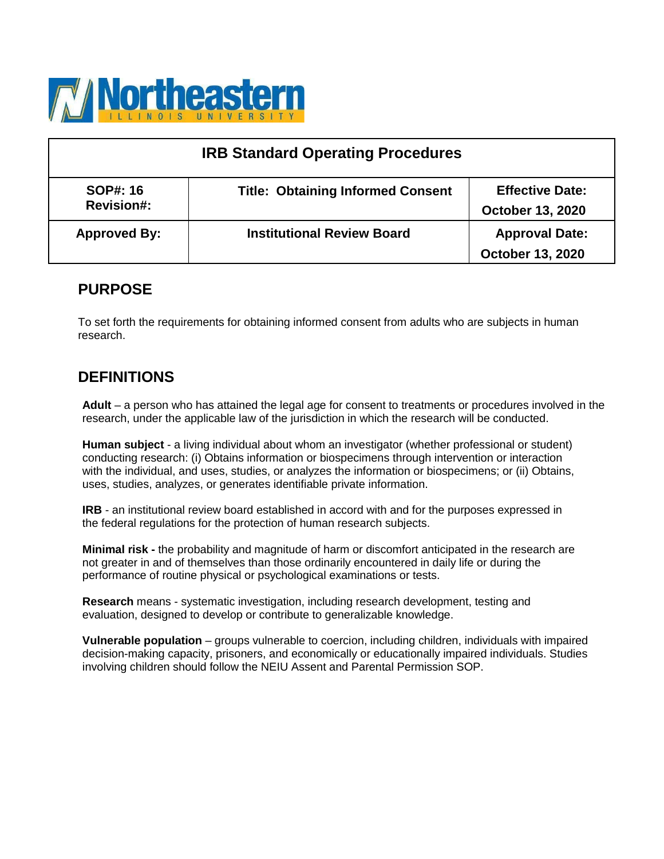

| <b>IRB Standard Operating Procedures</b> |                                          |                                                   |  |
|------------------------------------------|------------------------------------------|---------------------------------------------------|--|
| <b>SOP#: 16</b><br><b>Revision#:</b>     | <b>Title: Obtaining Informed Consent</b> | <b>Effective Date:</b><br><b>October 13, 2020</b> |  |
| <b>Approved By:</b>                      | <b>Institutional Review Board</b>        | <b>Approval Date:</b><br><b>October 13, 2020</b>  |  |

### **PURPOSE**

To set forth the requirements for obtaining informed consent from adults who are subjects in human research.

## **DEFINITIONS**

**Adult** – a person who has attained the legal age for consent to treatments or procedures involved in the research, under the applicable law of the jurisdiction in which the research will be conducted.

**Human subject** - a living individual about whom an investigator (whether professional or student) conducting research: (i) Obtains information or biospecimens through intervention or interaction with the individual, and uses, studies, or analyzes the information or biospecimens; or (ii) Obtains, uses, studies, analyzes, or generates identifiable private information.

**IRB** - an institutional review board established in accord with and for the purposes expressed in the federal regulations for the protection of human research subjects.

**Minimal risk -** the probability and magnitude of harm or discomfort anticipated in the research are not greater in and of themselves than those ordinarily encountered in daily life or during the performance of routine physical or psychological examinations or tests.

**Research** means - systematic investigation, including research development, testing and evaluation, designed to develop or contribute to generalizable knowledge.

**Vulnerable population** – groups vulnerable to coercion, including children, individuals with impaired decision-making capacity, prisoners, and economically or educationally impaired individuals. Studies involving children should follow the NEIU Assent and Parental Permission SOP.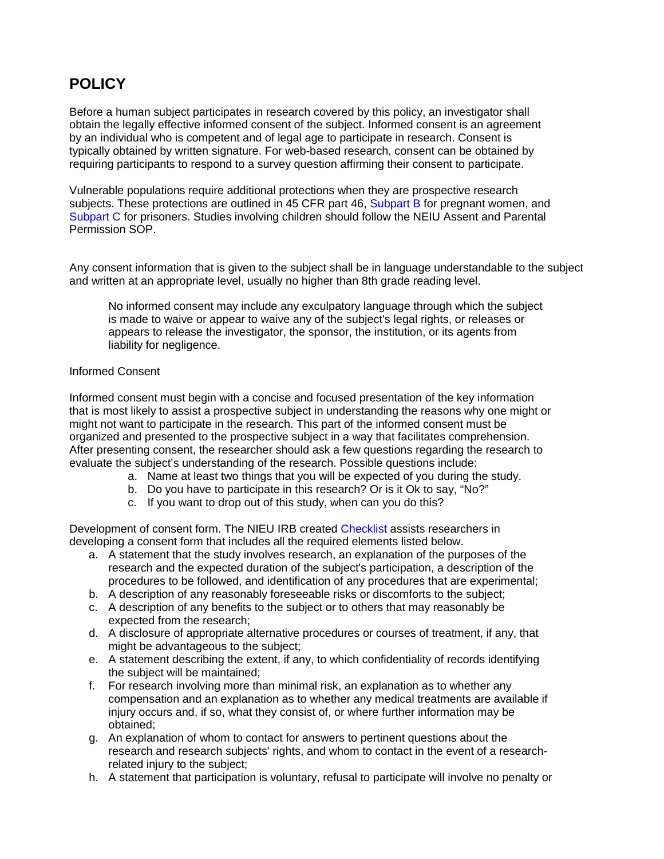# **POLICY**

Before a human subject participates in research covered by this policy, an investigator shall obtain the legally effective informed consent of the subject. Informed consent is an agreement by an individual who is competent and of legal age to participate in research. Consent is typically obtained by written signature. For web-based research, consent can be obtained by requiring participants to respond to a survey question affirming their consent to participate.

Vulnerable populations require additional protections when they are prospective research subjects. These protections are outlined in 45 CFR part 46, Subpart B for pregnant women, and Subpart C for prisoners. Studies involving children should follow the NEIU Assent and Parental Permission SOP.

Any consent information that is given to the subject shall be in language understandable to the subject and written at an appropriate level, usually no higher than 8th grade reading level.

No informed consent may include any exculpatory language through which the subject is made to waive or appear to waive any of the subject's legal rights, or releases or appears to release the investigator, the sponsor, the institution, or its agents from liability for negligence.

### Informed Consent

Informed consent must begin with a concise and focused presentation of the key information that is most likely to assist a prospective subject in understanding the reasons why one might or might not want to participate in the research. This part of the informed consent must be organized and presented to the prospective subject in a way that facilitates comprehension. After presenting consent, the researcher should ask a few questions regarding the research to evaluate the subject's understanding of the research. Possible questions include:

- a. Name at least two things that you will be expected of you during the study.
- b. Do you have to participate in this research? Or is it Ok to say, "No?"
- c. If you want to drop out of this study, when can you do this?

Development of consent form. The NIEU IRB created Checklist assists researchers in developing a consent form that includes all the required elements listed below.

- a. A statement that the study involves research, an explanation of the purposes of the research and the expected duration of the subject's participation, a description of the procedures to be followed, and identification of any procedures that are experimental;
- b. A description of any reasonably foreseeable risks or discomforts to the subject;
- c. A description of any benefits to the subject or to others that may reasonably be expected from the research;
- d. A disclosure of appropriate alternative procedures or courses of treatment, if any, that might be advantageous to the subject;
- e. A statement describing the extent, if any, to which confidentiality of records identifying the subject will be maintained;
- f. For research involving more than minimal risk, an explanation as to whether any compensation and an explanation as to whether any medical treatments are available if injury occurs and, if so, what they consist of, or where further information may be obtained;
- g. An explanation of whom to contact for answers to pertinent questions about the research and research subjects' rights, and whom to contact in the event of a researchrelated injury to the subject;
- h. A statement that participation is voluntary, refusal to participate will involve no penalty or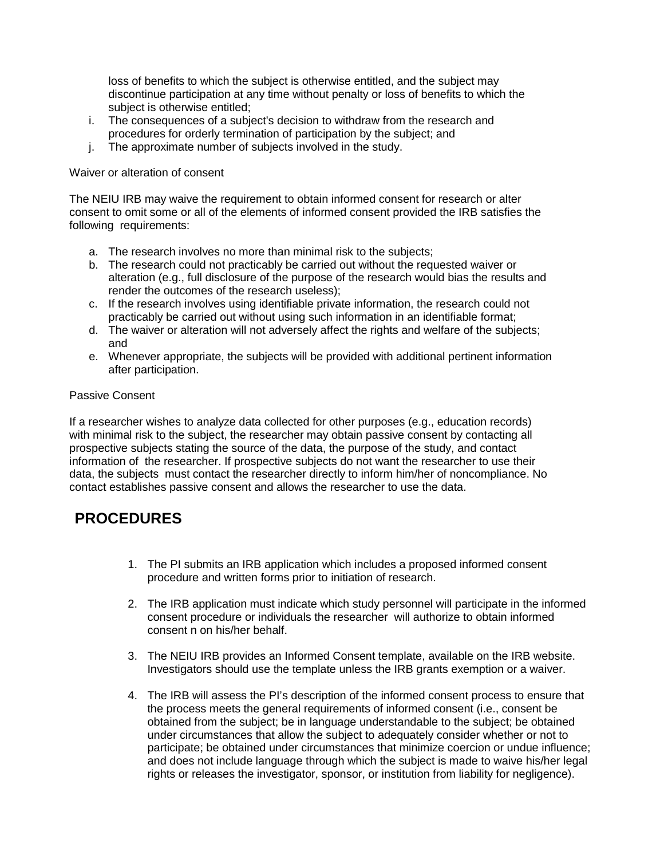loss of benefits to which the subject is otherwise entitled, and the subject may discontinue participation at any time without penalty or loss of benefits to which the subject is otherwise entitled;

- i. The consequences of a subject's decision to withdraw from the research and procedures for orderly termination of participation by the subject; and
- j. The approximate number of subjects involved in the study.

#### Waiver or alteration of consent

The NEIU IRB may waive the requirement to obtain informed consent for research or alter consent to omit some or all of the elements of informed consent provided the IRB satisfies the following requirements:

- a. The research involves no more than minimal risk to the subjects;
- b. The research could not practicably be carried out without the requested waiver or alteration (e.g., full disclosure of the purpose of the research would bias the results and render the outcomes of the research useless);
- c. If the research involves using identifiable private information, the research could not practicably be carried out without using such information in an identifiable format;
- d. The waiver or alteration will not adversely affect the rights and welfare of the subjects; and
- e. Whenever appropriate, the subjects will be provided with additional pertinent information after participation.

#### Passive Consent

If a researcher wishes to analyze data collected for other purposes (e.g., education records) with minimal risk to the subject, the researcher may obtain passive consent by contacting all prospective subjects stating the source of the data, the purpose of the study, and contact information of the researcher. If prospective subjects do not want the researcher to use their data, the subjects must contact the researcher directly to inform him/her of noncompliance. No contact establishes passive consent and allows the researcher to use the data.

### **PROCEDURES**

- 1. The PI submits an IRB application which includes a proposed informed consent procedure and written forms prior to initiation of research.
- 2. The IRB application must indicate which study personnel will participate in the informed consent procedure or individuals the researcher will authorize to obtain informed consent n on his/her behalf.
- 3. The NEIU IRB provides an Informed Consent template, available on the IRB website. Investigators should use the template unless the IRB grants exemption or a waiver.
- 4. The IRB will assess the PI's description of the informed consent process to ensure that the process meets the general requirements of informed consent (i.e., consent be obtained from the subject; be in language understandable to the subject; be obtained under circumstances that allow the subject to adequately consider whether or not to participate; be obtained under circumstances that minimize coercion or undue influence; and does not include language through which the subject is made to waive his/her legal rights or releases the investigator, sponsor, or institution from liability for negligence).